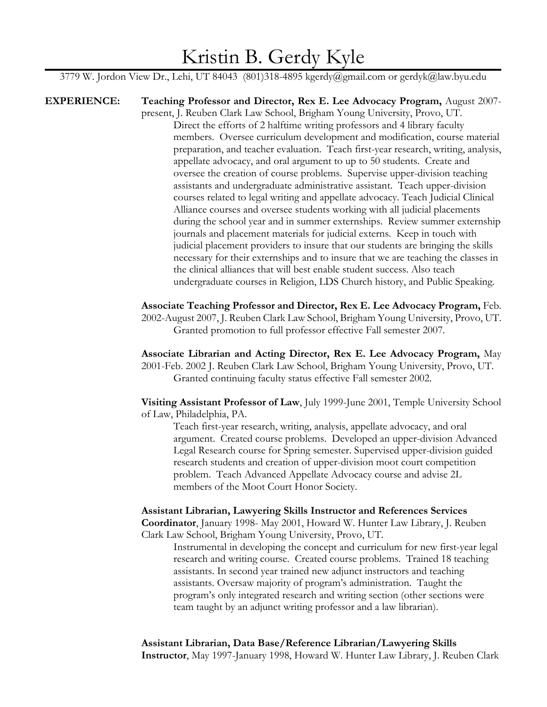# Kristin B. Gerdy Kyle

3779 W. Jordon View Dr., Lehi, UT 84043 (801)318-4895 kgerdy@gmail.com or gerdyk@law.byu.edu

**EXPERIENCE: Teaching Professor and Director, Rex E. Lee Advocacy Program,** August 2007 present, J. Reuben Clark Law School, Brigham Young University, Provo, UT. Direct the efforts of 2 halftime writing professors and 4 library faculty members. Oversee curriculum development and modification, course material preparation, and teacher evaluation. Teach first-year research, writing, analysis, appellate advocacy, and oral argument to up to 50 students. Create and oversee the creation of course problems. Supervise upper-division teaching assistants and undergraduate administrative assistant. Teach upper-division courses related to legal writing and appellate advocacy. Teach Judicial Clinical Alliance courses and oversee students working with all judicial placements during the school year and in summer externships. Review summer externship journals and placement materials for judicial externs. Keep in touch with judicial placement providers to insure that our students are bringing the skills necessary for their externships and to insure that we are teaching the classes in the clinical alliances that will best enable student success. Also teach undergraduate courses in Religion, LDS Church history, and Public Speaking.

> **Associate Teaching Professor and Director, Rex E. Lee Advocacy Program,** Feb. 2002-August 2007, J. Reuben Clark Law School, Brigham Young University, Provo, UT. Granted promotion to full professor effective Fall semester 2007.

> **Associate Librarian and Acting Director, Rex E. Lee Advocacy Program,** May 2001-Feb. 2002 J. Reuben Clark Law School, Brigham Young University, Provo, UT. Granted continuing faculty status effective Fall semester 2002.

> **Visiting Assistant Professor of Law**, July 1999-June 2001, Temple University School of Law, Philadelphia, PA.

Teach first-year research, writing, analysis, appellate advocacy, and oral argument. Created course problems. Developed an upper-division Advanced Legal Research course for Spring semester. Supervised upper-division guided research students and creation of upper-division moot court competition problem. Teach Advanced Appellate Advocacy course and advise 2L members of the Moot Court Honor Society.

**Assistant Librarian, Lawyering Skills Instructor and References Services Coordinator**, January 1998- May 2001, Howard W. Hunter Law Library, J. Reuben Clark Law School, Brigham Young University, Provo, UT.

Instrumental in developing the concept and curriculum for new first-year legal research and writing course. Created course problems. Trained 18 teaching assistants. In second year trained new adjunct instructors and teaching assistants. Oversaw majority of program's administration.Taught the program's only integrated research and writing section (other sections were team taught by an adjunct writing professor and a law librarian).

**Assistant Librarian, Data Base/Reference Librarian/Lawyering Skills Instructor**, May 1997-January 1998, Howard W. Hunter Law Library, J. Reuben Clark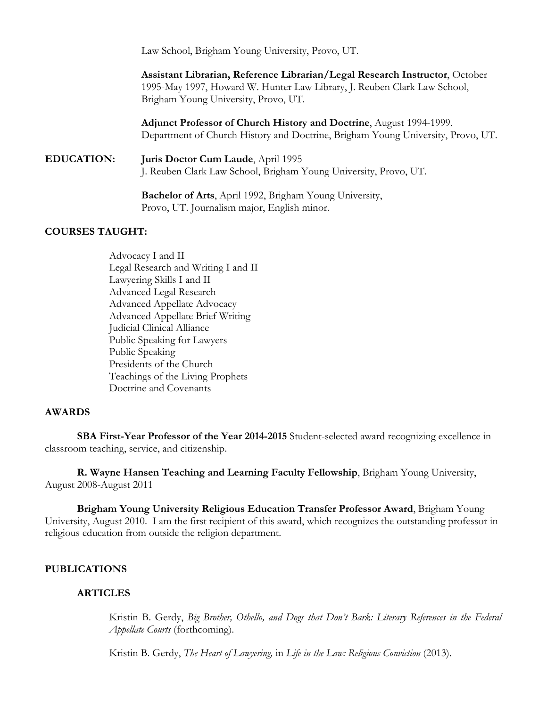Law School, Brigham Young University, Provo, UT.

**Assistant Librarian, Reference Librarian/Legal Research Instructor**, October 1995-May 1997, Howard W. Hunter Law Library, J. Reuben Clark Law School, Brigham Young University, Provo, UT.

**Adjunct Professor of Church History and Doctrine**, August 1994-1999. Department of Church History and Doctrine, Brigham Young University, Provo, UT.

## **EDUCATION: Juris Doctor Cum Laude**, April 1995 J. Reuben Clark Law School, Brigham Young University, Provo, UT.

**Bachelor of Arts**, April 1992, Brigham Young University, Provo, UT. Journalism major, English minor.

#### **COURSES TAUGHT:**

Advocacy I and II Legal Research and Writing I and II Lawyering Skills I and II Advanced Legal Research Advanced Appellate Advocacy Advanced Appellate Brief Writing Judicial Clinical Alliance Public Speaking for Lawyers Public Speaking Presidents of the Church Teachings of the Living Prophets Doctrine and Covenants

#### **AWARDS**

**SBA First-Year Professor of the Year 2014-2015** Student-selected award recognizing excellence in classroom teaching, service, and citizenship.

**R. Wayne Hansen Teaching and Learning Faculty Fellowship**, Brigham Young University, August 2008-August 2011

**Brigham Young University Religious Education Transfer Professor Award**, Brigham Young University, August 2010. I am the first recipient of this award, which recognizes the outstanding professor in religious education from outside the religion department.

#### **PUBLICATIONS**

#### **ARTICLES**

Kristin B. Gerdy, *Big Brother, Othello, and Dogs that Don't Bark: Literary References in the Federal Appellate Courts* (forthcoming).

Kristin B. Gerdy, *The Heart of Lawyering,* in *Life in the Law: Religious Conviction* (2013).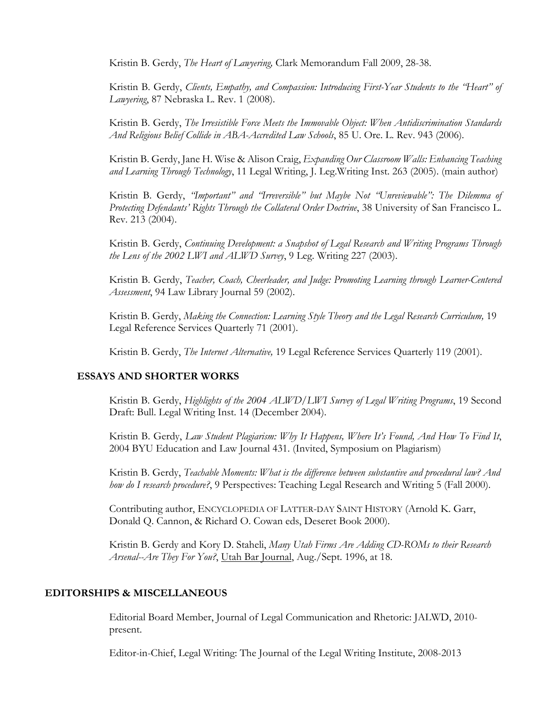Kristin B. Gerdy, *The Heart of Lawyering,* Clark Memorandum Fall 2009, 28-38.

Kristin B. Gerdy, *Clients, Empathy, and Compassion: Introducing First-Year Students to the "Heart" of Lawyering*, 87 Nebraska L. Rev. 1 (2008).

Kristin B. Gerdy, *The Irresistible Force Meets the Immovable Object: When Antidiscrimination Standards And Religious Belief Collide in ABA-Accredited Law Schools*, 85 U. Ore. L. Rev. 943 (2006)*.*

Kristin B. Gerdy, Jane H. Wise & Alison Craig, *Expanding Our Classroom Walls: Enhancing Teaching and Learning Through Technology*, 11 Legal Writing, J. Leg.Writing Inst. 263 (2005). (main author)

Kristin B. Gerdy, *"Important" and "Irreversible" but Maybe Not "Unreviewable": The Dilemma of Protecting Defendants' Rights Through the Collateral Order Doctrine*, 38 University of San Francisco L. Rev. 213 (2004).

Kristin B. Gerdy, *Continuing Development: a Snapshot of Legal Research and Writing Programs Through the Lens of the 2002 LWI and ALWD Survey*, 9 Leg. Writing 227 (2003).

Kristin B. Gerdy, *Teacher, Coach, Cheerleader, and Judge: Promoting Learning through Learner-Centered Assessment*, 94 Law Library Journal 59 (2002).

Kristin B. Gerdy, *Making the Connection: Learning Style Theory and the Legal Research Curriculum,* 19 Legal Reference Services Quarterly 71 (2001).

Kristin B. Gerdy, *The Internet Alternative,* 19 Legal Reference Services Quarterly 119 (2001).

#### **ESSAYS AND SHORTER WORKS**

Kristin B. Gerdy, *Highlights of the 2004 ALWD/LWI Survey of Legal Writing Programs*, 19 Second Draft: Bull. Legal Writing Inst. 14 (December 2004).

Kristin B. Gerdy, *Law Student Plagiarism: Why It Happens, Where It's Found, And How To Find It*, 2004 BYU Education and Law Journal 431. (Invited, Symposium on Plagiarism)

Kristin B. Gerdy, *Teachable Moments: What is the difference between substantive and procedural law? And how do I research procedure?*, 9 Perspectives: Teaching Legal Research and Writing 5 (Fall 2000).

Contributing author, ENCYCLOPEDIA OF LATTER-DAY SAINT HISTORY (Arnold K. Garr, Donald Q. Cannon, & Richard O. Cowan eds, Deseret Book 2000).

Kristin B. Gerdy and Kory D. Staheli, *Many Utah Firms Are Adding CD-ROMs to their Research Arsenal--Are They For You?*, Utah Bar Journal, Aug./Sept. 1996, at 18.

#### **EDITORSHIPS & MISCELLANEOUS**

Editorial Board Member, Journal of Legal Communication and Rhetoric: JALWD, 2010 present.

Editor-in-Chief, Legal Writing: The Journal of the Legal Writing Institute, 2008-2013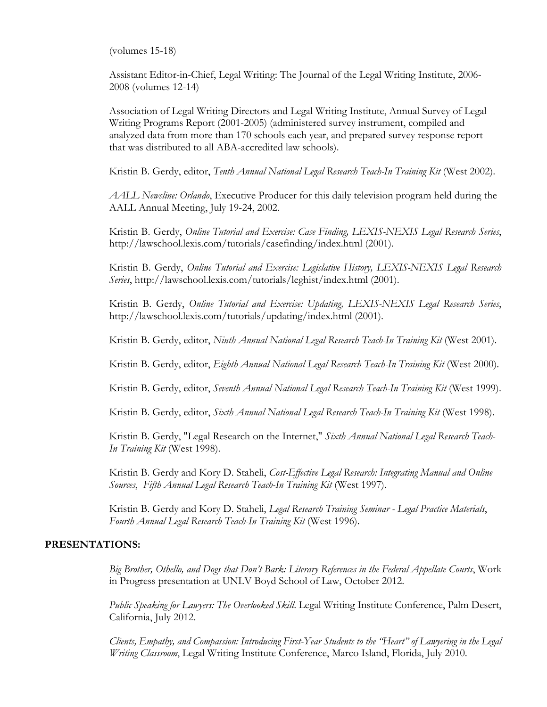(volumes 15-18)

Assistant Editor-in-Chief, Legal Writing: The Journal of the Legal Writing Institute, 2006- 2008 (volumes 12-14)

Association of Legal Writing Directors and Legal Writing Institute, Annual Survey of Legal Writing Programs Report (2001-2005) (administered survey instrument, compiled and analyzed data from more than 170 schools each year, and prepared survey response report that was distributed to all ABA-accredited law schools).

Kristin B. Gerdy, editor, *Tenth Annual National Legal Research Teach-In Training Kit* (West 2002).

*AALL Newsline: Orlando*, Executive Producer for this daily television program held during the AALL Annual Meeting, July 19-24, 2002.

Kristin B. Gerdy, *Online Tutorial and Exercise: Case Finding, LEXIS-NEXIS Legal Research Series*, http://lawschool.lexis.com/tutorials/casefinding/index.html (2001).

Kristin B. Gerdy, *Online Tutorial and Exercise: Legislative History, LEXIS-NEXIS Legal Research Series*, http://lawschool.lexis.com/tutorials/leghist/index.html (2001).

Kristin B. Gerdy, *Online Tutorial and Exercise: Updating, LEXIS-NEXIS Legal Research Series*, http://lawschool.lexis.com/tutorials/updating/index.html (2001).

Kristin B. Gerdy, editor, *Ninth Annual National Legal Research Teach-In Training Kit* (West 2001).

Kristin B. Gerdy, editor, *Eighth Annual National Legal Research Teach-In Training Kit* (West 2000).

Kristin B. Gerdy, editor, *Seventh Annual National Legal Research Teach-In Training Kit* (West 1999).

Kristin B. Gerdy, editor, *Sixth Annual National Legal Research Teach-In Training Kit* (West 1998).

Kristin B. Gerdy, "Legal Research on the Internet," *Sixth Annual National Legal Research Teach-In Training Kit* (West 1998).

Kristin B. Gerdy and Kory D. Staheli, *Cost-Effective Legal Research: Integrating Manual and Online Sources*, *Fifth Annual Legal Research Teach-In Training Kit* (West 1997).

Kristin B. Gerdy and Kory D. Staheli, *Legal Research Training Seminar - Legal Practice Materials*, *Fourth Annual Legal Research Teach-In Training Kit* (West 1996).

## **PRESENTATIONS:**

*Big Brother, Othello, and Dogs that Don't Bark: Literary References in the Federal Appellate Courts*, Work in Progress presentation at UNLV Boyd School of Law, October 2012.

*Public Speaking for Lawyers: The Overlooked Skill*. Legal Writing Institute Conference, Palm Desert, California, July 2012.

*Clients, Empathy, and Compassion: Introducing First-Year Students to the "Heart" of Lawyering in the Legal Writing Classroom*, Legal Writing Institute Conference, Marco Island, Florida, July 2010.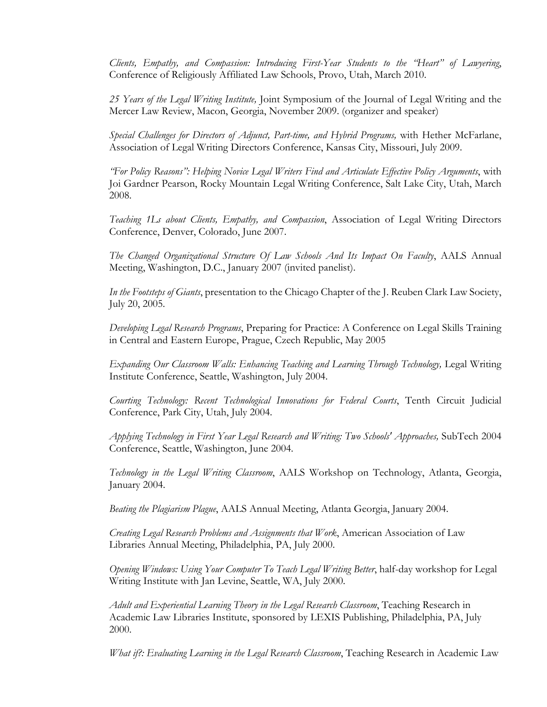*Clients, Empathy, and Compassion: Introducing First-Year Students to the "Heart" of Lawyering*, Conference of Religiously Affiliated Law Schools, Provo, Utah, March 2010.

*25 Years of the Legal Writing Institute,* Joint Symposium of the Journal of Legal Writing and the Mercer Law Review, Macon, Georgia, November 2009. (organizer and speaker)

*Special Challenges for Directors of Adjunct, Part-time, and Hybrid Programs,* with Hether McFarlane, Association of Legal Writing Directors Conference, Kansas City, Missouri, July 2009.

*"For Policy Reasons": Helping Novice Legal Writers Find and Articulate Effective Policy Arguments*, with Joi Gardner Pearson, Rocky Mountain Legal Writing Conference, Salt Lake City, Utah, March 2008.

*Teaching 1Ls about Clients, Empathy, and Compassion*, Association of Legal Writing Directors Conference, Denver, Colorado, June 2007.

*The Changed Organizational Structure Of Law Schools And Its Impact On Faculty*, AALS Annual Meeting, Washington, D.C., January 2007 (invited panelist).

*In the Footsteps of Giants*, presentation to the Chicago Chapter of the J. Reuben Clark Law Society, July 20, 2005.

*Developing Legal Research Programs*, Preparing for Practice: A Conference on Legal Skills Training in Central and Eastern Europe, Prague, Czech Republic, May 2005

*Expanding Our Classroom Walls: Enhancing Teaching and Learning Through Technology,* Legal Writing Institute Conference, Seattle, Washington, July 2004.

*Courting Technology: Recent Technological Innovations for Federal Courts*, Tenth Circuit Judicial Conference, Park City, Utah, July 2004.

*Applying Technology in First Year Legal Research and Writing: Two Schools' Approaches,* SubTech 2004 Conference, Seattle, Washington, June 2004.

*Technology in the Legal Writing Classroom*, AALS Workshop on Technology, Atlanta, Georgia, January 2004.

*Beating the Plagiarism Plague*, AALS Annual Meeting, Atlanta Georgia, January 2004.

*Creating Legal Research Problems and Assignments that Work*, American Association of Law Libraries Annual Meeting, Philadelphia, PA, July 2000.

*Opening Windows: Using Your Computer To Teach Legal Writing Better*, half-day workshop for Legal Writing Institute with Jan Levine, Seattle, WA, July 2000.

*Adult and Experiential Learning Theory in the Legal Research Classroom*, Teaching Research in Academic Law Libraries Institute, sponsored by LEXIS Publishing, Philadelphia, PA, July 2000.

*What if?: Evaluating Learning in the Legal Research Classroom*, Teaching Research in Academic Law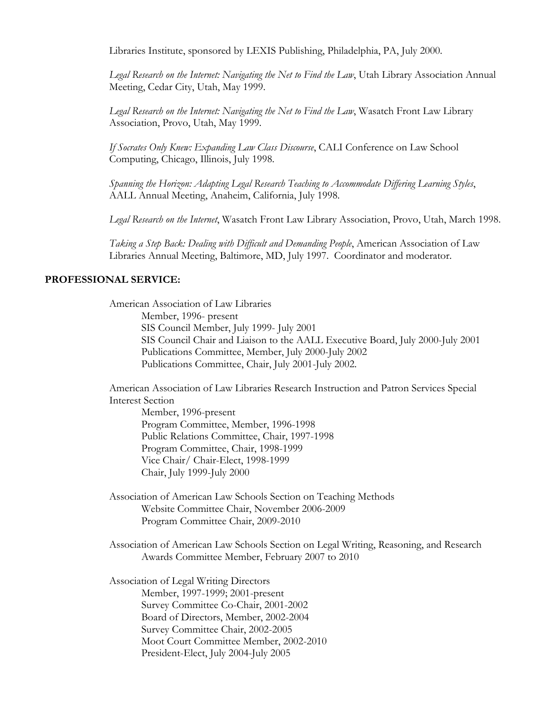Libraries Institute, sponsored by LEXIS Publishing, Philadelphia, PA, July 2000.

*Legal Research on the Internet: Navigating the Net to Find the Law*, Utah Library Association Annual Meeting, Cedar City, Utah, May 1999.

*Legal Research on the Internet: Navigating the Net to Find the Law*, Wasatch Front Law Library Association, Provo, Utah, May 1999.

*If Socrates Only Knew: Expanding Law Class Discourse*, CALI Conference on Law School Computing, Chicago, Illinois, July 1998.

*Spanning the Horizon: Adapting Legal Research Teaching to Accommodate Differing Learning Styles*, AALL Annual Meeting, Anaheim, California, July 1998.

*Legal Research on the Internet*, Wasatch Front Law Library Association, Provo, Utah, March 1998.

*Taking a Step Back: Dealing with Difficult and Demanding People*, American Association of Law Libraries Annual Meeting, Baltimore, MD, July 1997. Coordinator and moderator.

## **PROFESSIONAL SERVICE:**

American Association of Law Libraries Member, 1996- present SIS Council Member, July 1999- July 2001 SIS Council Chair and Liaison to the AALL Executive Board, July 2000-July 2001 Publications Committee, Member, July 2000-July 2002 Publications Committee, Chair, July 2001-July 2002.

American Association of Law Libraries Research Instruction and Patron Services Special Interest Section

Member, 1996-present Program Committee, Member, 1996-1998 Public Relations Committee, Chair, 1997-1998 Program Committee, Chair, 1998-1999 Vice Chair/ Chair-Elect, 1998-1999 Chair, July 1999-July 2000

Association of American Law Schools Section on Teaching Methods Website Committee Chair, November 2006-2009 Program Committee Chair, 2009-2010

Association of American Law Schools Section on Legal Writing, Reasoning, and Research Awards Committee Member, February 2007 to 2010

Association of Legal Writing Directors Member, 1997-1999; 2001-present Survey Committee Co-Chair, 2001-2002 Board of Directors, Member, 2002-2004 Survey Committee Chair, 2002-2005 Moot Court Committee Member, 2002-2010 President-Elect, July 2004-July 2005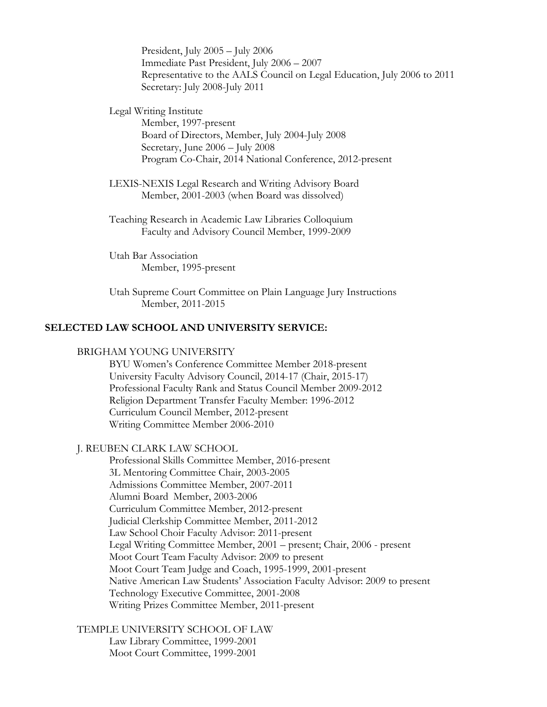President, July 2005 – July 2006 Immediate Past President, July 2006 – 2007 Representative to the AALS Council on Legal Education, July 2006 to 2011 Secretary: July 2008-July 2011

Legal Writing Institute Member, 1997-present Board of Directors, Member, July 2004-July 2008 Secretary, June 2006 – July 2008 Program Co-Chair, 2014 National Conference, 2012-present

LEXIS-NEXIS Legal Research and Writing Advisory Board Member, 2001-2003 (when Board was dissolved)

Teaching Research in Academic Law Libraries Colloquium Faculty and Advisory Council Member, 1999-2009

Utah Bar Association Member, 1995-present

Utah Supreme Court Committee on Plain Language Jury Instructions Member, 2011-2015

#### **SELECTED LAW SCHOOL AND UNIVERSITY SERVICE:**

#### BRIGHAM YOUNG UNIVERSITY

BYU Women's Conference Committee Member 2018-present University Faculty Advisory Council, 2014-17 (Chair, 2015-17) Professional Faculty Rank and Status Council Member 2009-2012 Religion Department Transfer Faculty Member: 1996-2012 Curriculum Council Member, 2012-present Writing Committee Member 2006-2010

#### J. REUBEN CLARK LAW SCHOOL

Professional Skills Committee Member, 2016-present 3L Mentoring Committee Chair, 2003-2005 Admissions Committee Member, 2007-2011 Alumni Board Member, 2003-2006 Curriculum Committee Member, 2012-present Judicial Clerkship Committee Member, 2011-2012 Law School Choir Faculty Advisor: 2011-present Legal Writing Committee Member, 2001 – present; Chair, 2006 - present Moot Court Team Faculty Advisor: 2009 to present Moot Court Team Judge and Coach, 1995-1999, 2001-present Native American Law Students' Association Faculty Advisor: 2009 to present Technology Executive Committee, 2001-2008 Writing Prizes Committee Member, 2011-present

TEMPLE UNIVERSITY SCHOOL OF LAW

Law Library Committee, 1999-2001 Moot Court Committee, 1999-2001